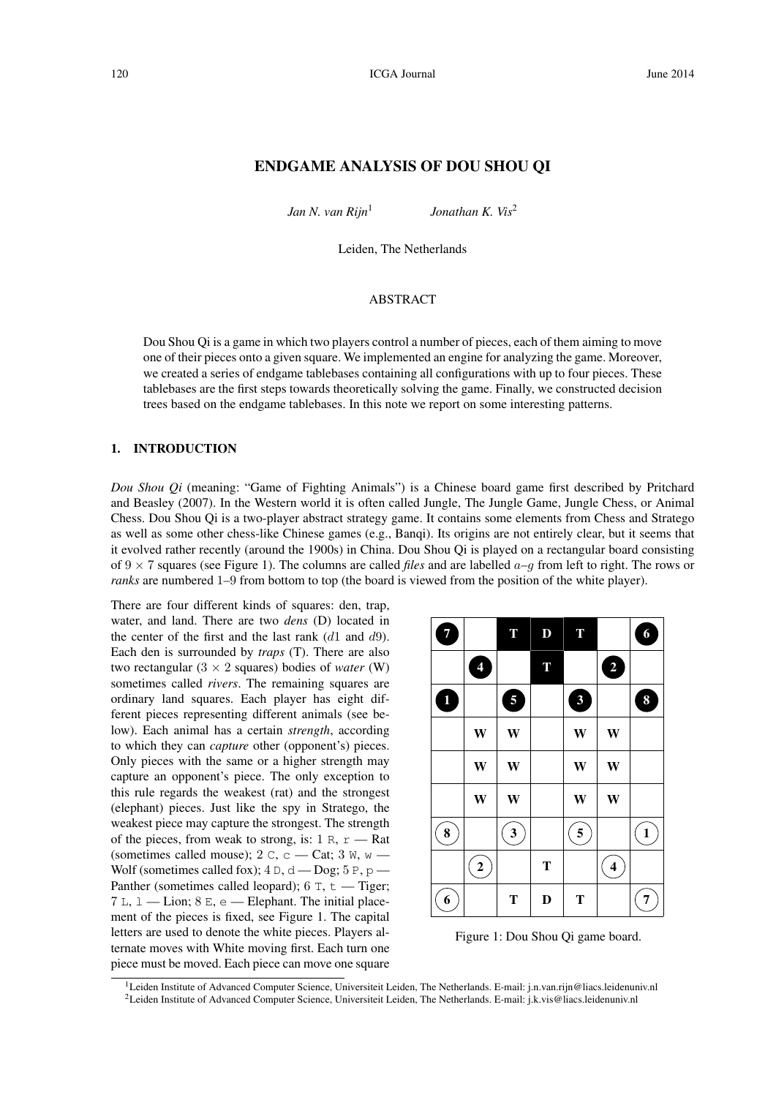# ENDGAME ANALYSIS OF DOU SHOU QI

*Jan N. van Rijn*<sup>1</sup>

*Jonathan K. Vis*<sup>2</sup>

Leiden, The Netherlands

## **ABSTRACT**

Dou Shou Qi is a game in which two players control a number of pieces, each of them aiming to move one of their pieces onto a given square. We implemented an engine for analyzing the game. Moreover, we created a series of endgame tablebases containing all configurations with up to four pieces. These tablebases are the first steps towards theoretically solving the game. Finally, we constructed decision trees based on the endgame tablebases. In this note we report on some interesting patterns.

#### 1. INTRODUCTION

*Dou Shou Qi* (meaning: "Game of Fighting Animals") is a Chinese board game first described by Pritchard and Beasley (2007). In the Western world it is often called Jungle, The Jungle Game, Jungle Chess, or Animal Chess. Dou Shou Qi is a two-player abstract strategy game. It contains some elements from Chess and Stratego as well as some other chess-like Chinese games (e.g., Banqi). Its origins are not entirely clear, but it seems that it evolved rather recently (around the 1900s) in China. Dou Shou Qi is played on a rectangular board consisting of  $9 \times 7$  squares (see Figure 1). The columns are called *files* and are labelled  $a-q$  from left to right. The rows or *ranks* are numbered 1–9 from bottom to top (the board is viewed from the position of the white player).

There are four different kinds of squares: den, trap, water, and land. There are two *dens* (D) located in the center of the first and the last rank  $(d1 \text{ and } d9)$ . Each den is surrounded by *traps* (T). There are also two rectangular  $(3 \times 2)$  squares) bodies of *water* (W) sometimes called *rivers*. The remaining squares are ordinary land squares. Each player has eight different pieces representing different animals (see below). Each animal has a certain *strength*, according to which they can *capture* other (opponent's) pieces. Only pieces with the same or a higher strength may capture an opponent's piece. The only exception to this rule regards the weakest (rat) and the strongest (elephant) pieces. Just like the spy in Stratego, the weakest piece may capture the strongest. The strength of the pieces, from weak to strong, is:  $1 \text{ R}$ ,  $r = \text{Rat}$ (sometimes called mouse); 2 C, c - Cat; 3 W, w -Wolf (sometimes called fox);  $4 D$ ,  $d - D$ og;  $5 P$ ,  $p -$ Panther (sometimes called leopard);  $6$  T,  $t$  - Tiger;  $7 L$ ,  $1 -$  Lion;  $8 E$ ,  $e$   $-$  Elephant. The initial placement of the pieces is fixed, see Figure 1. The capital letters are used to denote the white pieces. Players alternate moves with White moving first. Each turn one piece must be moved. Each piece can move one square

| 7                   |                | T            | $\mathbf{D}$ | T            |                         | $6\phantom{.}6$  |
|---------------------|----------------|--------------|--------------|--------------|-------------------------|------------------|
|                     | $\overline{4}$ |              | T            |              | 2                       |                  |
| $\ddot{\textbf{0}}$ |                | 5            |              | $\mathbf{3}$ |                         | $\boldsymbol{8}$ |
|                     | W              | W            |              | W            | W                       |                  |
|                     | W              | W            |              | W            | W                       |                  |
|                     | W              | W            |              | W            | W                       |                  |
| $\pmb{8}$           |                | $\mathbf{3}$ |              | 5            |                         | $\mathbf{1}$     |
|                     | $\mathbf 2$    |              | T            |              | $\overline{\mathbf{4}}$ |                  |
| 6                   |                | T            | $\bf{D}$     | T            |                         | 7                |

Figure 1: Dou Shou Qi game board.

<sup>1</sup>Leiden Institute of Advanced Computer Science, Universiteit Leiden, The Netherlands. E-mail: j.n.van.rijn@liacs.leidenuniv.nl <sup>2</sup>Leiden Institute of Advanced Computer Science, Universiteit Leiden, The Netherlands. E-mail: j.k.vis@liacs.leidenuniv.nl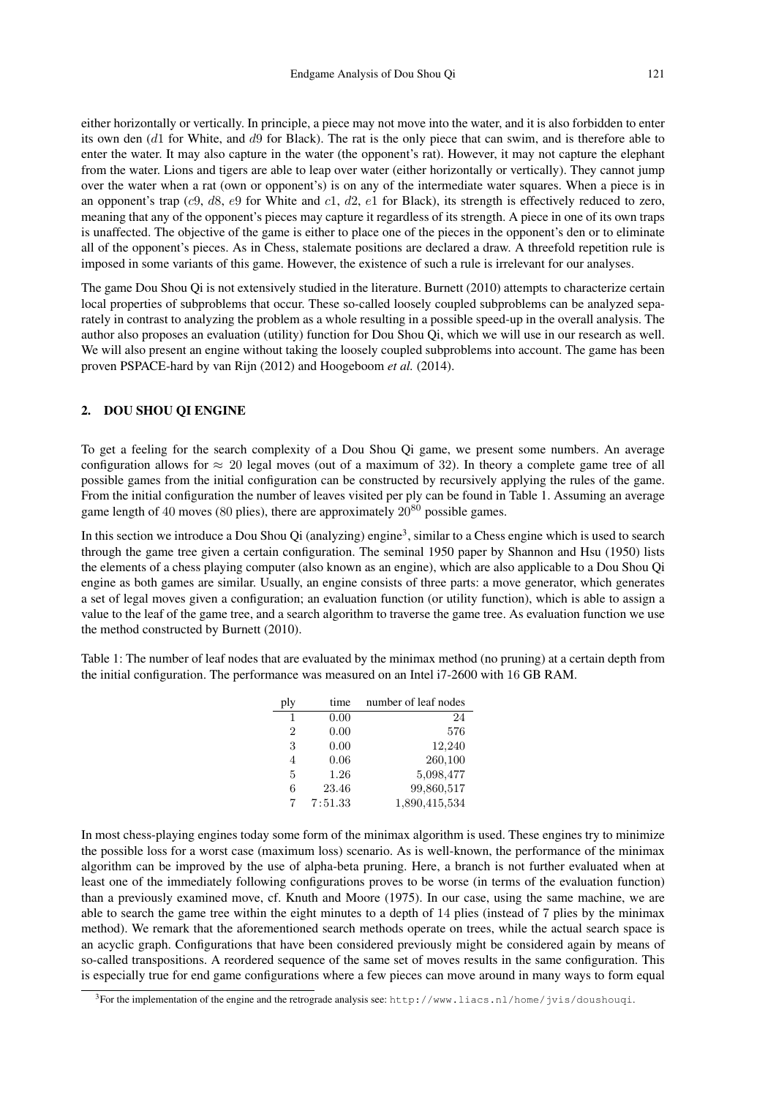either horizontally or vertically. In principle, a piece may not move into the water, and it is also forbidden to enter its own den (d1 for White, and d9 for Black). The rat is the only piece that can swim, and is therefore able to enter the water. It may also capture in the water (the opponent's rat). However, it may not capture the elephant from the water. Lions and tigers are able to leap over water (either horizontally or vertically). They cannot jump over the water when a rat (own or opponent's) is on any of the intermediate water squares. When a piece is in an opponent's trap (c9, d8, e9 for White and c1, d2, e1 for Black), its strength is effectively reduced to zero, meaning that any of the opponent's pieces may capture it regardless of its strength. A piece in one of its own traps is unaffected. The objective of the game is either to place one of the pieces in the opponent's den or to eliminate all of the opponent's pieces. As in Chess, stalemate positions are declared a draw. A threefold repetition rule is imposed in some variants of this game. However, the existence of such a rule is irrelevant for our analyses.

The game Dou Shou Qi is not extensively studied in the literature. Burnett (2010) attempts to characterize certain local properties of subproblems that occur. These so-called loosely coupled subproblems can be analyzed separately in contrast to analyzing the problem as a whole resulting in a possible speed-up in the overall analysis. The author also proposes an evaluation (utility) function for Dou Shou Qi, which we will use in our research as well. We will also present an engine without taking the loosely coupled subproblems into account. The game has been proven PSPACE-hard by van Rijn (2012) and Hoogeboom *et al.* (2014).

# 2. DOU SHOU QI ENGINE

To get a feeling for the search complexity of a Dou Shou Qi game, we present some numbers. An average configuration allows for  $\approx 20$  legal moves (out of a maximum of 32). In theory a complete game tree of all possible games from the initial configuration can be constructed by recursively applying the rules of the game. From the initial configuration the number of leaves visited per ply can be found in Table 1. Assuming an average game length of 40 moves (80 plies), there are approximately  $20^{80}$  possible games.

In this section we introduce a Dou Shou Qi (analyzing) engine<sup>3</sup>, similar to a Chess engine which is used to search through the game tree given a certain configuration. The seminal 1950 paper by Shannon and Hsu (1950) lists the elements of a chess playing computer (also known as an engine), which are also applicable to a Dou Shou Qi engine as both games are similar. Usually, an engine consists of three parts: a move generator, which generates a set of legal moves given a configuration; an evaluation function (or utility function), which is able to assign a value to the leaf of the game tree, and a search algorithm to traverse the game tree. As evaluation function we use the method constructed by Burnett (2010).

Table 1: The number of leaf nodes that are evaluated by the minimax method (no pruning) at a certain depth from the initial configuration. The performance was measured on an Intel i7-2600 with 16 GB RAM.

| ply            | time    | number of leaf nodes |
|----------------|---------|----------------------|
| 1              | 0.00    | 24                   |
| 2              | 0.00    | 576                  |
| 3              | 0.00    | 12,240               |
| $\overline{4}$ | 0.06    | 260,100              |
| 5              | 1.26    | 5,098,477            |
| 6              | 23.46   | 99,860,517           |
| 7              | 7:51.33 | 1,890,415,534        |

In most chess-playing engines today some form of the minimax algorithm is used. These engines try to minimize the possible loss for a worst case (maximum loss) scenario. As is well-known, the performance of the minimax algorithm can be improved by the use of alpha-beta pruning. Here, a branch is not further evaluated when at least one of the immediately following configurations proves to be worse (in terms of the evaluation function) than a previously examined move, cf. Knuth and Moore (1975). In our case, using the same machine, we are able to search the game tree within the eight minutes to a depth of 14 plies (instead of 7 plies by the minimax method). We remark that the aforementioned search methods operate on trees, while the actual search space is an acyclic graph. Configurations that have been considered previously might be considered again by means of so-called transpositions. A reordered sequence of the same set of moves results in the same configuration. This is especially true for end game configurations where a few pieces can move around in many ways to form equal

 $3$ For the implementation of the engine and the retrograde analysis see: http://www.liacs.nl/home/jvis/doushouqi.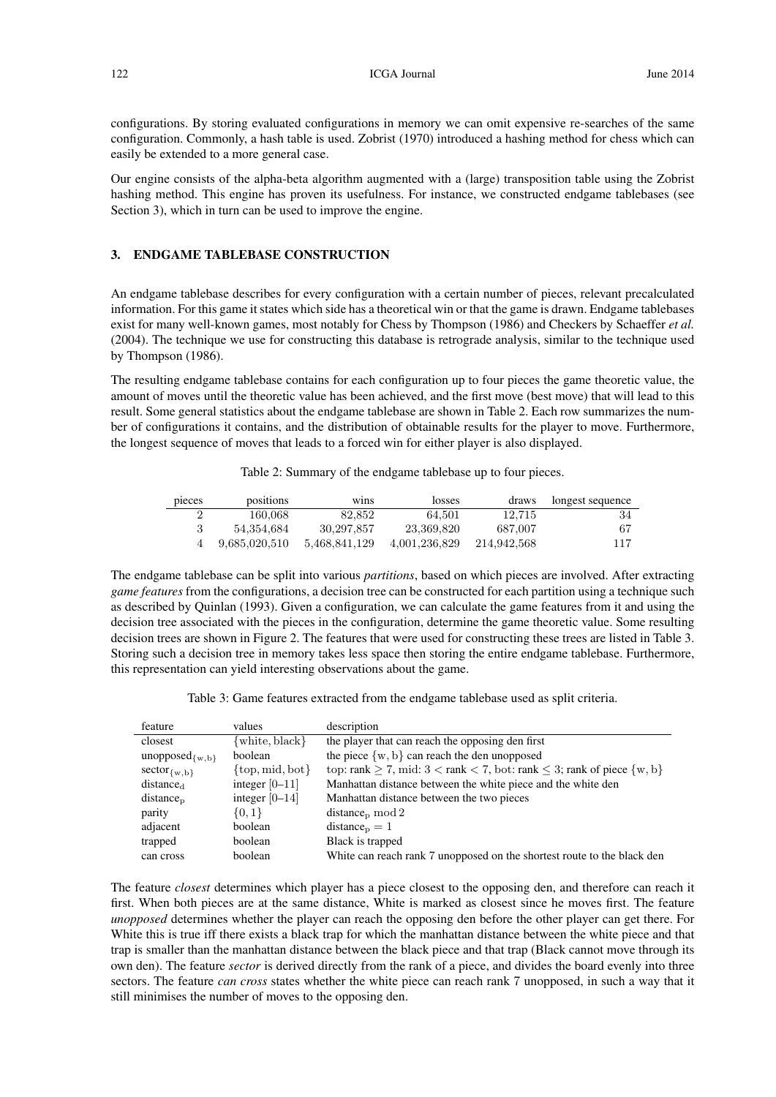122 **ICGA Journal** June 2014

configurations. By storing evaluated configurations in memory we can omit expensive re-searches of the same configuration. Commonly, a hash table is used. Zobrist (1970) introduced a hashing method for chess which can easily be extended to a more general case.

Our engine consists of the alpha-beta algorithm augmented with a (large) transposition table using the Zobrist hashing method. This engine has proven its usefulness. For instance, we constructed endgame tablebases (see Section 3), which in turn can be used to improve the engine.

### 3. ENDGAME TABLEBASE CONSTRUCTION

An endgame tablebase describes for every configuration with a certain number of pieces, relevant precalculated information. For this game it states which side has a theoretical win or that the game is drawn. Endgame tablebases exist for many well-known games, most notably for Chess by Thompson (1986) and Checkers by Schaeffer *et al.* (2004). The technique we use for constructing this database is retrograde analysis, similar to the technique used by Thompson (1986).

The resulting endgame tablebase contains for each configuration up to four pieces the game theoretic value, the amount of moves until the theoretic value has been achieved, and the first move (best move) that will lead to this result. Some general statistics about the endgame tablebase are shown in Table 2. Each row summarizes the number of configurations it contains, and the distribution of obtainable results for the player to move. Furthermore, the longest sequence of moves that leads to a forced win for either player is also displayed.

Table 2: Summary of the endgame tablebase up to four pieces.

| pieces | positions     | W <sub>1</sub> ns | losses        | draws       | longest sequence |
|--------|---------------|-------------------|---------------|-------------|------------------|
|        | 160.068       | 82.852            | 64.501        | 12.715      | 34               |
|        | 54.354.684    | 30.297.857        | 23,369,820    | 687.007     | -67              |
|        | 9,685,020,510 | 5.468.841.129     | 4.001.236.829 | 214.942.568 | 117              |

The endgame tablebase can be split into various *partitions*, based on which pieces are involved. After extracting *game features* from the configurations, a decision tree can be constructed for each partition using a technique such as described by Quinlan (1993). Given a configuration, we can calculate the game features from it and using the decision tree associated with the pieces in the configuration, determine the game theoretic value. Some resulting decision trees are shown in Figure 2. The features that were used for constructing these trees are listed in Table 3. Storing such a decision tree in memory takes less space then storing the entire endgame tablebase. Furthermore, this representation can yield interesting observations about the game.

Table 3: Game features extracted from the endgame tablebase used as split criteria.

| feature                | values                                    | description                                                                                |
|------------------------|-------------------------------------------|--------------------------------------------------------------------------------------------|
| closest                | $\{\text{white}, \text{black}\}\$         | the player that can reach the opposing den first                                           |
| unopposed $_{\{w,b\}}$ | <b>boolean</b>                            | the piece $\{w, b\}$ can reach the den unopposed                                           |
| $sector_{\{w,b\}}$     | $\{\text{top}, \text{mid}, \text{bot}\}\$ | top: rank $\geq 7$ , mid: $3 <$ rank $< 7$ , bot: rank $\leq 3$ ; rank of piece $\{w, b\}$ |
| distance <sub>d</sub>  | integer $[0-11]$                          | Manhattan distance between the white piece and the white den                               |
| $distance_{p}$         | integer $[0-14]$                          | Manhattan distance between the two pieces                                                  |
| parity                 | $\{0,1\}$                                 | distance <sub>p</sub> mod 2                                                                |
| adjacent               | boolean                                   | $distance_p = 1$                                                                           |
| trapped                | boolean                                   | Black is trapped                                                                           |
| can cross              | boolean                                   | White can reach rank 7 unopposed on the shortest route to the black den                    |

The feature *closest* determines which player has a piece closest to the opposing den, and therefore can reach it first. When both pieces are at the same distance, White is marked as closest since he moves first. The feature *unopposed* determines whether the player can reach the opposing den before the other player can get there. For White this is true iff there exists a black trap for which the manhattan distance between the white piece and that trap is smaller than the manhattan distance between the black piece and that trap (Black cannot move through its own den). The feature *sector* is derived directly from the rank of a piece, and divides the board evenly into three sectors. The feature *can cross* states whether the white piece can reach rank 7 unopposed, in such a way that it still minimises the number of moves to the opposing den.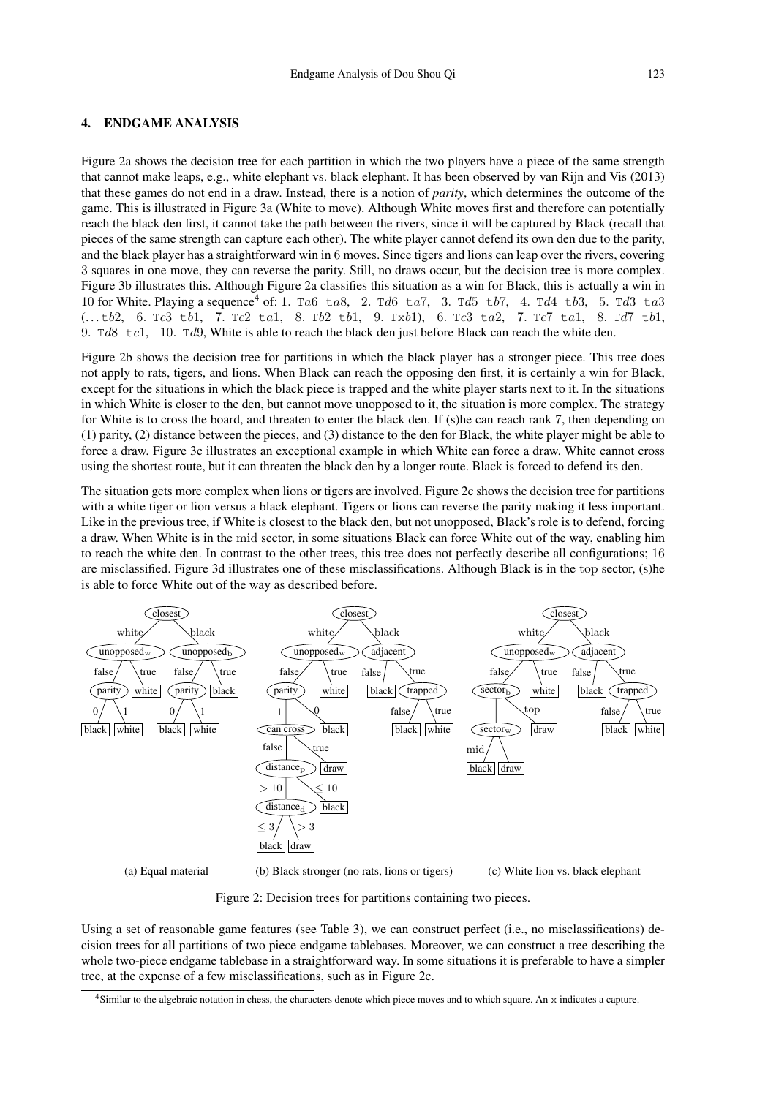### 4. ENDGAME ANALYSIS

Figure 2a shows the decision tree for each partition in which the two players have a piece of the same strength that cannot make leaps, e.g., white elephant vs. black elephant. It has been observed by van Rijn and Vis (2013) that these games do not end in a draw. Instead, there is a notion of *parity*, which determines the outcome of the game. This is illustrated in Figure 3a (White to move). Although White moves first and therefore can potentially reach the black den first, it cannot take the path between the rivers, since it will be captured by Black (recall that pieces of the same strength can capture each other). The white player cannot defend its own den due to the parity, and the black player has a straightforward win in 6 moves. Since tigers and lions can leap over the rivers, covering 3 squares in one move, they can reverse the parity. Still, no draws occur, but the decision tree is more complex. Figure 3b illustrates this. Although Figure 2a classifies this situation as a win for Black, this is actually a win in 10 for White. Playing a sequence<sup>4</sup> of: 1. Ta6 ta8, 2. Td6 ta7, 3. Td5 tb7, 4. Td4 tb3, 5. Td3 ta3 (. . . tb2, 6. Tc3 tb1, 7. Tc2 ta1, 8. Tb2 tb1, 9. Txb1), 6. Tc3 ta2, 7. Tc7 ta1, 8. Td7 tb1, 9. Td8 tc1, 10. Td9, White is able to reach the black den just before Black can reach the white den.

Figure 2b shows the decision tree for partitions in which the black player has a stronger piece. This tree does not apply to rats, tigers, and lions. When Black can reach the opposing den first, it is certainly a win for Black, except for the situations in which the black piece is trapped and the white player starts next to it. In the situations in which White is closer to the den, but cannot move unopposed to it, the situation is more complex. The strategy for White is to cross the board, and threaten to enter the black den. If (s)he can reach rank 7, then depending on (1) parity, (2) distance between the pieces, and (3) distance to the den for Black, the white player might be able to force a draw. Figure 3c illustrates an exceptional example in which White can force a draw. White cannot cross using the shortest route, but it can threaten the black den by a longer route. Black is forced to defend its den.

The situation gets more complex when lions or tigers are involved. Figure 2c shows the decision tree for partitions with a white tiger or lion versus a black elephant. Tigers or lions can reverse the parity making it less important. Like in the previous tree, if White is closest to the black den, but not unopposed, Black's role is to defend, forcing a draw. When White is in the mid sector, in some situations Black can force White out of the way, enabling him to reach the white den. In contrast to the other trees, this tree does not perfectly describe all configurations; 16 are misclassified. Figure 3d illustrates one of these misclassifications. Although Black is in the top sector, (s)he is able to force White out of the way as described before.



Figure 2: Decision trees for partitions containing two pieces.

Using a set of reasonable game features (see Table 3), we can construct perfect (i.e., no misclassifications) decision trees for all partitions of two piece endgame tablebases. Moreover, we can construct a tree describing the whole two-piece endgame tablebase in a straightforward way. In some situations it is preferable to have a simpler tree, at the expense of a few misclassifications, such as in Figure 2c.

 $4$ Similar to the algebraic notation in chess, the characters denote which piece moves and to which square. An  $x$  indicates a capture.